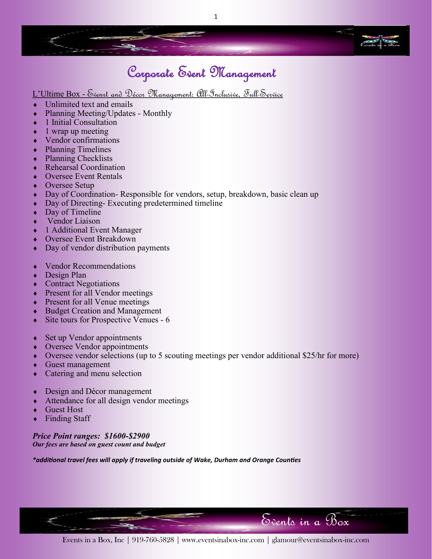

### Corporate Event Management

#### L'Ultime Box - Evenrt and Décor Management: All-Inclusive, Full-Service

- Unlimited text and emails
- Planning Meeting/Updates Monthly
- 1 Initial Consultation
- 1 wrap up meeting
- Vendor confirmations
- Planning Timelines
- Planning Checklists
- Rehearsal Coordination
- ◆ Oversee Event Rentals
- ◆ Oversee Setup
- Day of Coordination- Responsible for vendors, setup, breakdown, basic clean up
- Day of Directing-Executing predetermined timeline
- Day of Timeline
- Vendor Liaison
- 1 Additional Event Manager
- Oversee Event Breakdown
- Day of vendor distribution payments
- Vendor Recommendations
- Design Plan
- Contract Negotiations
- Present for all Vendor meetings
- Present for all Venue meetings
- ◆ Budget Creation and Management
- Site tours for Prospective Venues 6
- Set up Vendor appointments
- Oversee Vendor appointments
- Oversee vendor selections (up to 5 scouting meetings per vendor additional \$25/hr for more)
- Guest management
- Catering and menu selection
- Design and Décor management
- Attendance for all design vendor meetings
- Guest Host
- Finding Staff

*Price Point ranges: \$1600-\$2900 Our fees are based on guest count and budget*

*\*additional travel fees will apply if traveling outside of Wake, Durham and Orange Counties* 

Events in a Box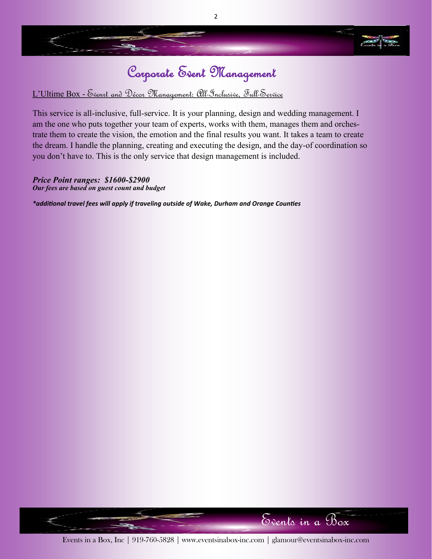

### Corporate Event Management

#### L'Ultime Box - Evenrt and Décor Management: All-Inclusive, Full-Service

This service is all-inclusive, full-service. It is your planning, design and wedding management. I am the one who puts together your team of experts, works with them, manages them and orchestrate them to create the vision, the emotion and the final results you want. It takes a team to create the dream. I handle the planning, creating and executing the design, and the day-of coordination so you don't have to. This is the only service that design management is included.

#### *Price Point ranges: \$1600-\$2900 Our fees are based on guest count and budget*

*\*additional travel fees will apply if traveling outside of Wake, Durham and Orange Counties* 

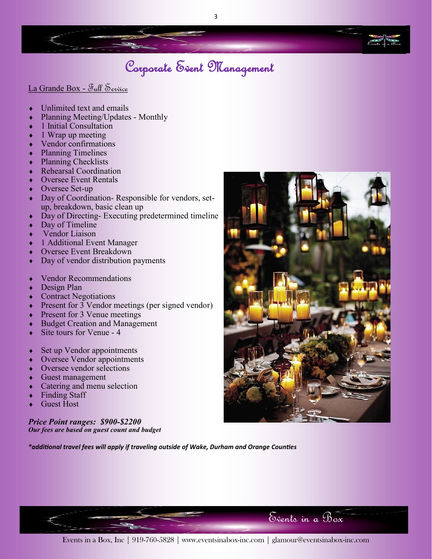

### Corporate Event Management

La Grande Box - Full Service

- Unlimited text and emails
- Planning Meeting/Updates Monthly
- 1 Initial Consultation
- 1 Wrap up meeting
- Vendor confirmations
- ◆ Planning Timelines
- Planning Checklists
- Rehearsal Coordination
- Oversee Event Rentals
- Oversee Set-up
- Day of Coordination- Responsible for vendors, setup, breakdown, basic clean up
- Day of Directing- Executing predetermined timeline
- Day of Timeline
- Vendor Liaison
- 1 Additional Event Manager
- Oversee Event Breakdown
- Day of vendor distribution payments
- Vendor Recommendations
- Design Plan
- **Contract Negotiations**
- Present for 3 Vendor meetings (per signed vendor)
- Present for 3 Venue meetings
- Budget Creation and Management
- Site tours for Venue 4
- $\triangleleft$  Set up Vendor appointments
- Oversee Vendor appointments
- Oversee vendor selections
- Guest management
- Catering and menu selection
- Finding Staff
- Guest Host

*Price Point ranges: \$900-\$2200 Our fees are based on guest count and budget*

*\*additional travel fees will apply if traveling outside of Wake, Durham and Orange Counties* 



Events in a Box

Events in a Box, Inc | 919-760-5828 | www.eventsinabox-inc.com | glamour@eventsinabox-inc.com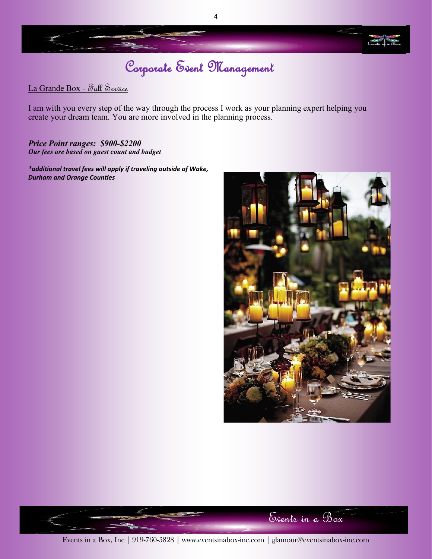

## Corporate Event Management

La Grande Box - Full Service

I am with you every step of the way through the process I work as your planning expert helping you create your dream team. You are more involved in the planning process.

*Price Point ranges: \$900-\$2200 Our fees are based on guest count and budget*

*\*additional travel fees will apply if traveling outside of Wake, Durham and Orange Counties* 



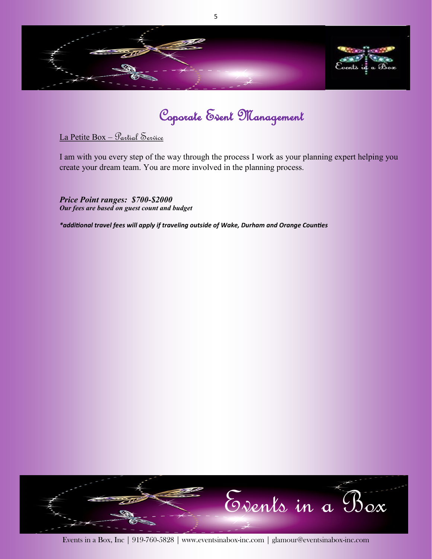

Coporate Event Management

La Petite Box – Partial Service

I am with you every step of the way through the process I work as your planning expert helping you create your dream team. You are more involved in the planning process.

*Price Point ranges: \$700-\$2000 Our fees are based on guest count and budget*

*\*additional travel fees will apply if traveling outside of Wake, Durham and Orange Counties* 

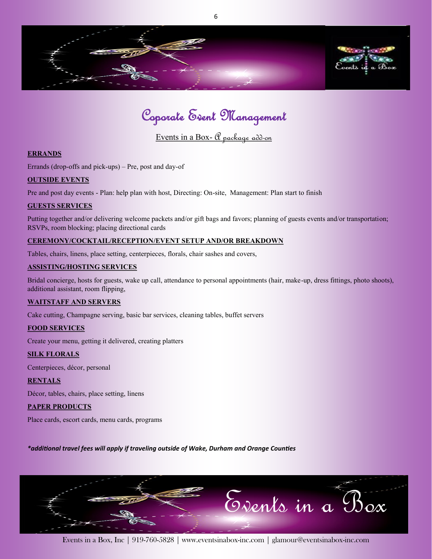

### Coporate Event Management

Events in a Box-  $Q$  package add-on

#### **ERRANDS**

Errands (drop-offs and pick-ups) – Pre, post and day-of

#### **OUTSIDE EVENTS**

Pre and post day events - Plan: help plan with host, Directing: On-site, Management: Plan start to finish

#### **GUESTS SERVICES**

Putting together and/or delivering welcome packets and/or gift bags and favors; planning of guests events and/or transportation; RSVPs, room blocking; placing directional cards

#### **CEREMONY/COCKTAIL/RECEPTION/EVENT SETUP AND/OR BREAKDOWN**

Tables, chairs, linens, place setting, centerpieces, florals, chair sashes and covers,

#### **ASSISTING/HOSTING SERVICES**

Bridal concierge, hosts for guests, wake up call, attendance to personal appointments (hair, make-up, dress fittings, photo shoots), additional assistant, room flipping,

#### **WAITSTAFF AND SERVERS**

Cake cutting, Champagne serving, basic bar services, cleaning tables, buffet servers

#### **FOOD SERVICES**

Create your menu, getting it delivered, creating platters

#### **SILK FLORALS**

Centerpieces, décor, personal

#### **RENTALS**

Décor, tables, chairs, place setting, linens

#### **PAPER PRODUCTS**

Place cards, escort cards, menu cards, programs

*\*additional travel fees will apply if traveling outside of Wake, Durham and Orange Counties* 



6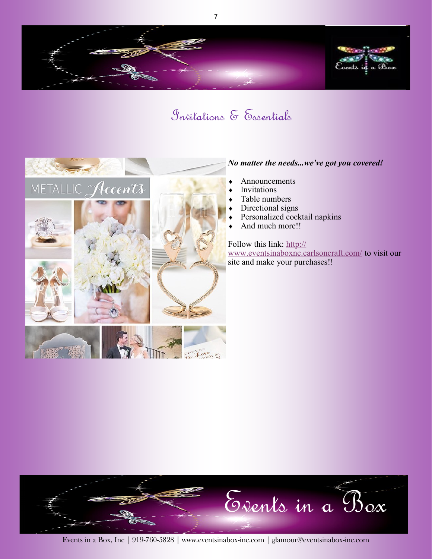

### Invitations & Essentials



#### *No matter the needs...we've got you covered!*

- Announcements
- Invitations
- Table numbers
- Directional signs
- Personalized cocktail napkins
- And much more!!

Follow this link: [http://](http://www.eventsinaboxnc.carlsoncraft.com/) [www.eventsinaboxnc.carlsoncraft.com/](http://www.eventsinaboxnc.carlsoncraft.com/) to visit our site and make your purchases!!



7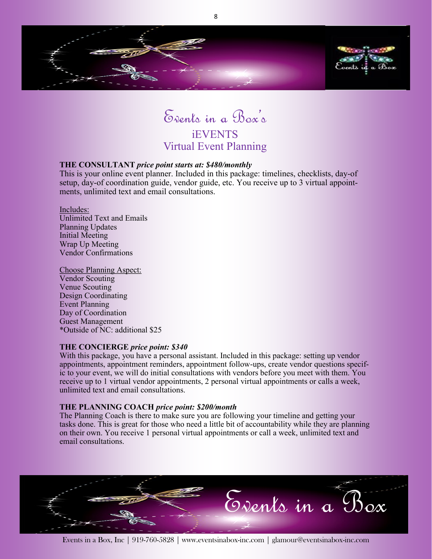



#### **THE CONSULTANT** *price point starts at: \$480/monthly*

This is your online event planner. Included in this package: timelines, checklists, day-of setup, day-of coordination guide, vendor guide, etc. You receive up to 3 virtual appointments, unlimited text and email consultations.

Includes: Unlimited Text and Emails Planning Updates Initial Meeting Wrap Up Meeting Vendor Confirmations

Choose Planning Aspect: Vendor Scouting Venue Scouting Design Coordinating Event Planning Day of Coordination Guest Management \*Outside of NC: additional \$25

#### **THE CONCIERGE** *price point: \$340*

With this package, you have a personal assistant. Included in this package: setting up vendor appointments, appointment reminders, appointment follow-ups, create vendor questions specific to your event, we will do initial consultations with vendors before you meet with them. You receive up to 1 virtual vendor appointments, 2 personal virtual appointments or calls a week, unlimited text and email consultations.

#### **THE PLANNING COACH** *price point: \$200/month*

The Planning Coach is there to make sure you are following your timeline and getting your tasks done. This is great for those who need a little bit of accountability while they are planning on their own. You receive 1 personal virtual appointments or call a week, unlimited text and email consultations.

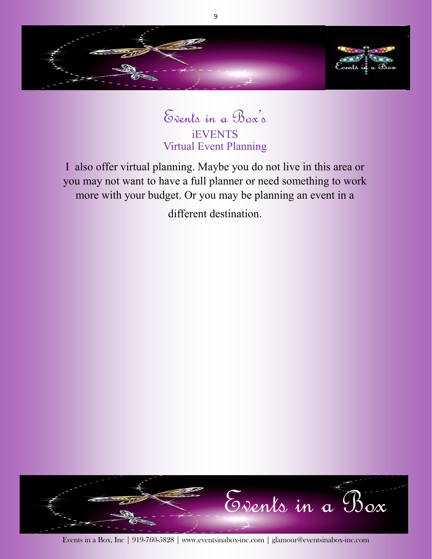

Events in a Box's iEVENTS Virtual Event Planning

I also offer virtual planning. Maybe you do not live in this area or you may not want to have a full planner or need something to work more with your budget. Or you may be planning an event in a different destination.